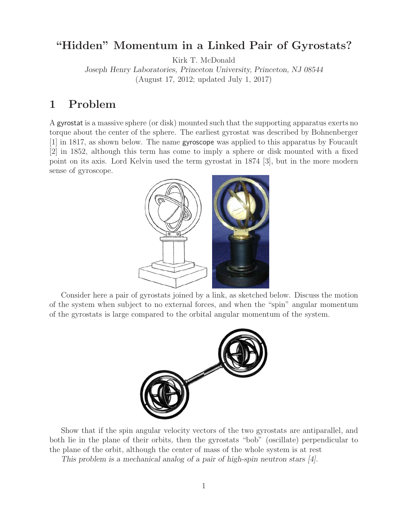### **"Hidden" Momentum in a Linked Pair of Gyrostats?**

Kirk T. McDonald

*Joseph Henry Laboratories, Princeton University, Princeton, NJ 08544* (August 17, 2012; updated July 1, 2017)

### **1 Problem**

<sup>A</sup> gyrostat is a massive sphere (or disk) mounted such that the supporting apparatus exerts no torque about the center of the sphere. The earliest gyrostat was described by Bohnenberger [1] in 1817, as shown below. The name gyroscope was applied to this apparatus by Foucault [2] in 1852, although this term has come to imply a sphere or disk mounted with a fixed point on its axis. Lord Kelvin used the term gyrostat in 1874 [3], but in the more modern sense of gyroscope.



Consider here a pair of gyrostats joined by a link, as sketched below. Discuss the motion of the system when subject to no external forces, and when the "spin" angular momentum of the gyrostats is large compared to the orbital angular momentum of the system.



Show that if the spin angular velocity vectors of the two gyrostats are antiparallel, and both lie in the plane of their orbits, then the gyrostats "bob" (oscillate) perpendicular to the plane of the orbit, although the center of mass of the whole system is at rest

*This problem is a mechanical analog of a pair of high-spin neutron stars [4].*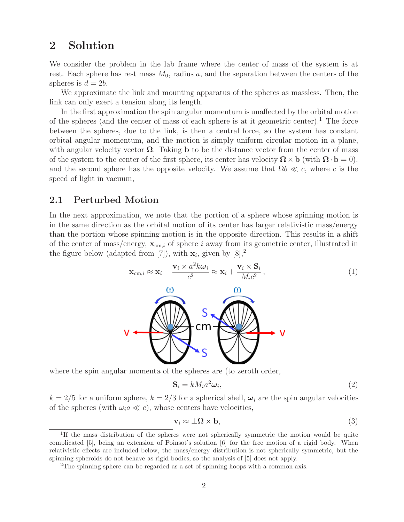# **2 Solution**

We consider the problem in the lab frame where the center of mass of the system is at rest. Each sphere has rest mass  $M_0$ , radius a, and the separation between the centers of the spheres is  $d = 2b$ .

We approximate the link and mounting apparatus of the spheres as massless. Then, the link can only exert a tension along its length.

In the first approximation the spin angular momentum is unaffected by the orbital motion of the spheres (and the center of mass of each sphere is at it geometric center).<sup>1</sup> The force between the spheres, due to the link, is then a central force, so the system has constant orbital angular momentum, and the motion is simply uniform circular motion in a plane, with angular velocity vector  $\Omega$ . Taking **b** to be the distance vector from the center of mass of the system to the center of the first sphere, its center has velocity  $\Omega \times \mathbf{b}$  (with  $\Omega \cdot \mathbf{b} = 0$ ), and the second sphere has the opposite velocity. We assume that  $\Omega b \ll c$ , where c is the speed of light in vacuum,

#### **2.1 Perturbed Motion**

In the next approximation, we note that the portion of a sphere whose spinning motion is in the same direction as the orbital motion of its center has larger relativistic mass/energy than the portion whose spinning motion is in the opposite direction. This results in a shift of the center of mass/energy,  $\mathbf{x}_{cm,i}$  of sphere i away from its geometric center, illustrated in the figure below (adapted from [7]), with  $\mathbf{x}_i$ , given by [8],<sup>2</sup>

$$
\mathbf{x}_{cm,i} \approx \mathbf{x}_i + \frac{\mathbf{v}_i \times a^2 k \boldsymbol{\omega}_i}{c^2} \approx \mathbf{x}_i + \frac{\mathbf{v}_i \times \mathbf{S}_i}{M_i c^2},
$$
\n(1)



where the spin angular momenta of the spheres are (to zeroth order,

$$
\mathbf{S}_i = k M_i a^2 \boldsymbol{\omega}_i,\tag{2}
$$

 $k = 2/5$  for a uniform sphere,  $k = 2/3$  for a spherical shell,  $\omega_i$  are the spin angular velocities of the spheres (with  $\omega_i a \ll c$ ), whose centers have velocities,

$$
\mathbf{v}_i \approx \pm \mathbf{\Omega} \times \mathbf{b},\tag{3}
$$

<sup>&</sup>lt;sup>1</sup>If the mass distribution of the spheres were not spherically symmetric the motion would be quite complicated [5], being an extension of Poinsot's solution [6] for the free motion of a rigid body. When relativistic effects are included below, the mass/energy distribution is not spherically symmetric, but the spinning spheroids do not behave as rigid bodies, so the analysis of [5] does not apply.

<sup>&</sup>lt;sup>2</sup>The spinning sphere can be regarded as a set of spinning hoops with a common axis.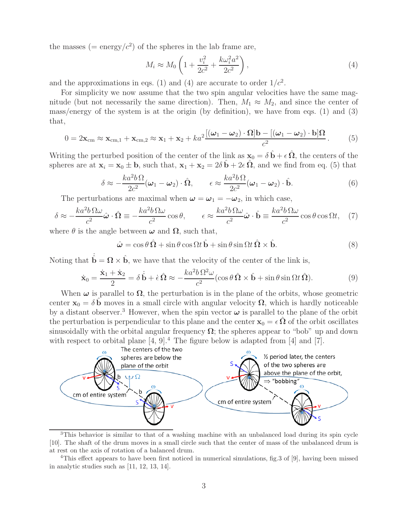the masses (= energy/ $c^2$ ) of the spheres in the lab frame are,

$$
M_i \approx M_0 \left( 1 + \frac{v_i^2}{2c^2} + \frac{k\omega_i^2 a^2}{2c^2} \right),\tag{4}
$$

and the approximations in eqs. (1) and (4) are accurate to order  $1/c<sup>2</sup>$ .

For simplicity we now assume that the two spin angular velocities have the same magnitude (but not necessarily the same direction). Then,  $M_1 \approx M_2$ , and since the center of mass/energy of the system is at the origin (by definition), we have from eqs. (1) and (3) that,

$$
0 = 2\mathbf{x}_{cm} \approx \mathbf{x}_{cm,1} + \mathbf{x}_{cm,2} \approx \mathbf{x}_1 + \mathbf{x}_2 + ka^2 \frac{[(\boldsymbol{\omega}_1 - \boldsymbol{\omega}_2) \cdot \mathbf{\Omega}] \mathbf{b} - [(\boldsymbol{\omega}_1 - \boldsymbol{\omega}_2) \cdot \mathbf{b}] \mathbf{\Omega}}{c^2}.
$$
 (5)

Writing the perturbed position of the center of the link as  $\mathbf{x}_0 = \delta \hat{\mathbf{b}} + \epsilon \hat{\mathbf{\Omega}}$ , the centers of the spheres are at  $\mathbf{x}_i = \mathbf{x}_0 \pm \mathbf{b}$ , such that,  $\mathbf{x}_1 + \mathbf{x}_2 = 2\delta \hat{\mathbf{b}} + 2\epsilon \hat{\mathbf{\Omega}}$ , and we find from eq. (5) that

$$
\delta \approx -\frac{ka^2b\,\Omega}{2c^2}(\omega_1 - \omega_2) \cdot \hat{\Omega}, \qquad \epsilon \approx \frac{ka^2b\,\Omega}{2c^2}(\omega_1 - \omega_2) \cdot \hat{\mathbf{b}}.\tag{6}
$$

The perturbations are maximal when  $\boldsymbol{\omega} = \boldsymbol{\omega}_1 = -\boldsymbol{\omega}_2$ , in which case,

$$
\delta \approx -\frac{ka^2b\,\Omega\omega}{c^2}\hat{\boldsymbol{\omega}}\cdot\hat{\boldsymbol{\Omega}} \equiv -\frac{ka^2b\,\Omega\omega}{c^2}\cos\theta, \qquad \epsilon \approx \frac{ka^2b\,\Omega\omega}{c^2}\hat{\boldsymbol{\omega}}\cdot\hat{\boldsymbol{\mathsf{b}}} \equiv \frac{ka^2b\,\Omega\omega}{c^2}\cos\theta\cos\Omega t,\tag{7}
$$

where  $\theta$  is the angle between  $\omega$  and  $\Omega$ , such that,

 $\hat{\omega} = \cos \theta \, \hat{\Omega} + \sin \theta \, \cos \Omega t \, \hat{\mathbf{b}} + \sin \theta \, \sin \Omega t \, \hat{\Omega} \times \hat{\mathbf{b}}.$ (8)

Noting that  $\dot{\hat{\mathbf{b}}} = \mathbf{\Omega} \times \hat{\mathbf{b}}$ , we have that the velocity of the center of the link is,

$$
\dot{\mathbf{x}}_0 = \frac{\dot{\mathbf{x}}_1 + \dot{\mathbf{x}}_2}{2} = \delta \dot{\hat{\mathbf{b}}} + \dot{\epsilon} \hat{\Omega} \approx -\frac{k a^2 b \Omega^2 \omega}{c^2} (\cos \theta \hat{\Omega} \times \hat{\mathbf{b}} + \sin \theta \sin \Omega t \hat{\Omega}). \tag{9}
$$

When  $\omega$  is parallel to  $\Omega$ , the perturbation is in the plane of the orbits, whose geometric center  $\mathbf{x}_0 = \delta \mathbf{b}$  moves in a small circle with angular velocity  $\Omega$ , which is hardly noticeable by a distant observer.<sup>3</sup> However, when the spin vector  $\omega$  is parallel to the plane of the orbit the perturbation is perpendicular to this plane and the center  $\mathbf{x}_0 = \epsilon \, \hat{\Omega}$  of the orbit oscillates sinusoidally with the orbital angular frequency  $\Omega$ ; the spheres appear to "bob" up and down with respect to orbital plane  $[4, 9]^4$ . The figure below is adapted from  $[4]$  and  $[7]$ .



<sup>&</sup>lt;sup>3</sup>This behavior is similar to that of a washing machine with an unbalanced load during its spin cycle [10]. The shaft of the drum moves in a small circle such that the center of mass of the unbalanced drum is at rest on the axis of rotation of a balanced drum.

<sup>&</sup>lt;sup>4</sup>This effect appears to have been first noticed in numerical simulations, fig.3 of [9], having been missed in analytic studies such as [11, 12, 13, 14].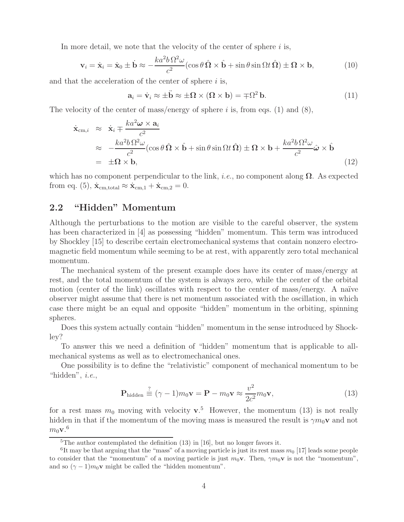In more detail, we note that the velocity of the center of sphere  $i$  is,

$$
\mathbf{v}_{i} = \dot{\mathbf{x}}_{i} = \dot{\mathbf{x}}_{0} \pm \dot{\mathbf{b}} \approx -\frac{k a^{2} b \,\Omega^{2} \omega}{c^{2}} (\cos \theta \,\hat{\Omega} \times \hat{\mathbf{b}} + \sin \theta \sin \Omega t \,\hat{\Omega}) \pm \mathbf{\Omega} \times \mathbf{b},\tag{10}
$$

and that the acceleration of the center of sphere  $i$  is,

$$
\mathbf{a}_{i} = \dot{\mathbf{v}}_{i} \approx \pm \ddot{\mathbf{b}} \approx \pm \Omega \times (\Omega \times \mathbf{b}) = \mp \Omega^{2} \mathbf{b}.
$$
 (11)

The velocity of the center of mass/energy of sphere i is, from eqs. (1) and (8),

$$
\begin{split}\n\dot{\mathbf{x}}_{\text{cm},i} &\approx \dot{\mathbf{x}}_i \mp \frac{k a^2 \boldsymbol{\omega} \times \mathbf{a}_i}{c^2} \\
&\approx -\frac{k a^2 b \,\Omega^2 \omega}{c^2} (\cos \theta \,\hat{\boldsymbol{\Omega}} \times \hat{\mathbf{b}} + \sin \theta \sin \Omega t \,\hat{\boldsymbol{\Omega}}) \pm \boldsymbol{\Omega} \times \mathbf{b} + \frac{k a^2 b \,\Omega^2 \omega}{c^2} \hat{\boldsymbol{\omega}} \times \hat{\mathbf{b}} \\
&= \pm \boldsymbol{\Omega} \times \mathbf{b},\n\end{split} \tag{12}
$$

which has no component perpendicular to the link, *i.e.*, no component along  $\Omega$ . As expected from eq. (5),  $\dot{\mathbf{x}}_{cm, total} \approx \dot{\mathbf{x}}_{cm,1} + \dot{\mathbf{x}}_{cm,2} = 0.$ 

### **2.2 "Hidden" Momentum**

Although the perturbations to the motion are visible to the careful observer, the system has been characterized in [4] as possessing "hidden" momentum. This term was introduced by Shockley [15] to describe certain electromechanical systems that contain nonzero electromagnetic field momentum while seeming to be at rest, with apparently zero total mechanical momentum.

The mechanical system of the present example does have its center of mass/energy at rest, and the total momentum of the system is always zero, while the center of the orbital motion (center of the link) oscillates with respect to the center of mass/energy. A naïve observer might assume that there is net momentum associated with the oscillation, in which case there might be an equal and opposite "hidden" momentum in the orbiting, spinning spheres.

Does this system actually contain "hidden" momentum in the sense introduced by Shockley?

To answer this we need a definition of "hidden" momentum that is applicable to allmechanical systems as well as to electromechanical ones.

One possibility is to define the "relativistic" component of mechanical momentum to be "hidden", *i.e.*,

$$
\mathbf{P}_{\text{hidden}} \stackrel{?}{\equiv} (\gamma - 1)m_0 \mathbf{v} = \mathbf{P} - m_0 \mathbf{v} \approx \frac{v^2}{2c^2} m_0 \mathbf{v},\tag{13}
$$

for a rest mass  $m_0$  moving with velocity **v**.<sup>5</sup> However, the momentum (13) is not really hidden in that if the momentum of the moving mass is measured the result is  $\gamma m_0 \mathbf{v}$  and not  $m_0$ **v**.<sup>6</sup>

 ${}^{5}$ The author contemplated the definition (13) in [16], but no longer favors it.

<sup>&</sup>lt;sup>6</sup>It may be that arguing that the "mass" of a moving particle is just its rest mass  $m_0$  [17] leads some people to consider that the "momentum" of a moving particle is just  $m_0\mathbf{v}$ . Then,  $\gamma m_0\mathbf{v}$  is not the "momentum", and so  $(\gamma - 1)m_0\mathbf{v}$  might be called the "hidden momentum".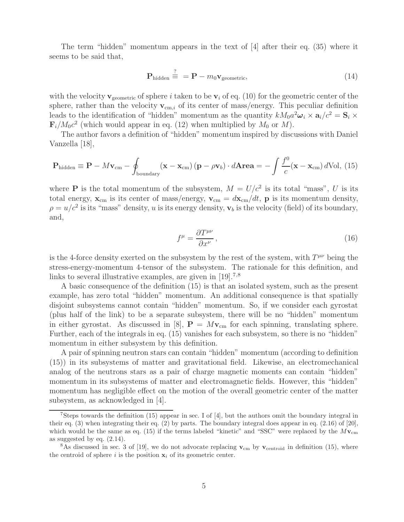The term "hidden" momentum appears in the text of [4] after their eq. (35) where it seems to be said that,

$$
\mathbf{P}_{\text{hidden}} \stackrel{?}{=} \mathbf{P} - m_0 \mathbf{v}_{\text{geometric}},\tag{14}
$$

with the velocity  $\mathbf{v}_{\text{geometric}}$  of sphere i taken to be  $\mathbf{v}_i$  of eq. (10) for the geometric center of the sphere, rather than the velocity  $v_{cm,i}$  of its center of mass/energy. This peculiar definition leads to the identification of "hidden" momentum as the quantity  $kM_0a^2\omega_i \times \mathbf{a}_i/c^2 = \mathbf{S}_i \times$  $\mathbf{F}_i/M_0c^2$  (which would appear in eq. (12) when multiplied by  $M_0$  or M).

The author favors a definition of "hidden" momentum inspired by discussions with Daniel Vanzella [18],

$$
\mathbf{P}_{\text{hidden}} \equiv \mathbf{P} - M\mathbf{v}_{\text{cm}} - \oint_{\text{boundary}} (\mathbf{x} - \mathbf{x}_{\text{cm}}) (\mathbf{p} - \rho \mathbf{v}_b) \cdot d\mathbf{A} \mathbf{r} \mathbf{e} \mathbf{a} = -\int \frac{f^0}{c} (\mathbf{x} - \mathbf{x}_{\text{cm}}) d\text{Vol}, (15)
$$

where **P** is the total momentum of the subsystem,  $M = U/c^2$  is its total "mass", U is its total energy,  $\mathbf{x}_{cm}$  is its center of mass/energy,  $\mathbf{v}_{cm} = d\mathbf{x}_{cm}/dt$ , **p** is its momentum density,  $\rho = u/c^2$  is its "mass" density, u is its energy density,  $\mathbf{v}_b$  is the velocity (field) of its boundary, and,

$$
f^{\mu} = \frac{\partial T^{\mu\nu}}{\partial x^{\nu}},\tag{16}
$$

is the 4-force density exerted on the subsystem by the rest of the system, with  $T^{\mu\nu}$  being the stress-energy-momentum 4-tensor of the subsystem. The rationale for this definition, and links to several illustrative examples, are given in [19]<sup>7,8</sup>

A basic consequence of the definition (15) is that an isolated system, such as the present example, has zero total "hidden" momentum. An additional consequence is that spatially disjoint subsystems cannot contain "hidden" momentum. So, if we consider each gyrostat (plus half of the link) to be a separate subsystem, there will be no "hidden" momentum in either gyrostat. As discussed in [8],  $\mathbf{P} = M\mathbf{v}_{cm}$  for each spinning, translating sphere. Further, each of the integrals in eq. (15) vanishes for each subsystem, so there is no "hidden" momentum in either subsystem by this definition.

A pair of spinning neutron stars can contain "hidden" momentum (according to definition (15)) in its subsystems of matter and gravitational field. Likewise, an electromechanical analog of the neutrons stars as a pair of charge magnetic moments can contain "hidden" momentum in its subsystems of matter and electromagnetic fields. However, this "hidden" momentum has negligible effect on the motion of the overall geometric center of the matter subsystem, as acknowledged in [4].

<sup>&</sup>lt;sup>7</sup>Steps towards the definition (15) appear in sec. I of [4], but the authors omit the boundary integral in their eq. (3) when integrating their eq. (2) by parts. The boundary integral does appear in eq. (2.16) of [20], which would be the same as eq. (15) if the terms labeled "kinetic" and "SSC" were replaced by the  $M_{\rm Vcm}$ as suggested by eq. (2.14).

<sup>&</sup>lt;sup>8</sup>As discussed in sec. 3 of [19], we do not advocate replacing  $\mathbf{v}_{cm}$  by  $\mathbf{v}_{centroid}$  in definition (15), where the centroid of sphere i is the position  $\mathbf{x}_i$  of its geometric center.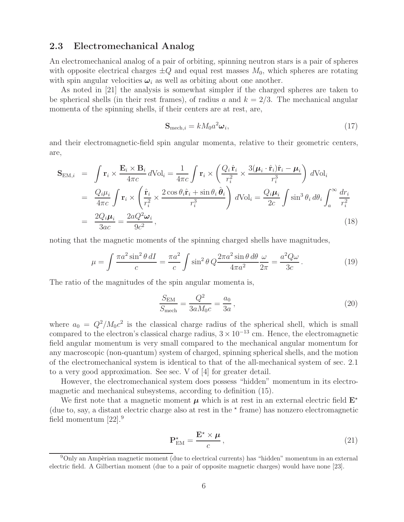#### **2.3 Electromechanical Analog**

An electromechanical analog of a pair of orbiting, spinning neutron stars is a pair of spheres with opposite electrical charges  $\pm Q$  and equal rest masses  $M_0$ , which spheres are rotating with spin angular velocities  $\omega_i$  as well as orbiting about one another.

As noted in [21] the analysis is somewhat simpler if the charged spheres are taken to be spherical shells (in their rest frames), of radius a and  $k = 2/3$ . The mechanical angular momenta of the spinning shells, if their centers are at rest, are,

$$
\mathbf{S}_{\text{mech},i} = k M_0 a^2 \boldsymbol{\omega}_i,\tag{17}
$$

and their electromagnetic-field spin angular momenta, relative to their geometric centers, are,

$$
\mathbf{S}_{\text{EM},i} = \int \mathbf{r}_i \times \frac{\mathbf{E}_i \times \mathbf{B}_i}{4\pi c} d\text{Vol}_i = \frac{1}{4\pi c} \int \mathbf{r}_i \times \left( \frac{Q_i \hat{\mathbf{r}}_i}{r_i^2} \times \frac{3(\boldsymbol{\mu}_i \cdot \hat{\mathbf{r}}_i)\hat{\mathbf{r}}_i - \boldsymbol{\mu}_i}{r_i^3} \right) d\text{Vol}_i
$$
  
\n
$$
= \frac{Q_i \mu_i}{4\pi c} \int \mathbf{r}_i \times \left( \frac{\hat{\mathbf{r}}_i}{r_i^2} \times \frac{2 \cos \theta_i \hat{\mathbf{r}}_i + \sin \theta_i \hat{\boldsymbol{\theta}}_i}{r_i^3} \right) d\text{Vol}_i = \frac{Q_i \mu_i}{2c} \int \sin^3 \theta_i d\theta_i \int_a^{\infty} \frac{dr_i}{r_i^2}
$$
  
\n
$$
= \frac{2Q_i \mu_i}{3ac} = \frac{2aQ^2 \omega_i}{9c^2},
$$
\n(18)

noting that the magnetic moments of the spinning charged shells have magnitudes,

$$
\mu = \int \frac{\pi a^2 \sin^2 \theta \, dI}{c} = \frac{\pi a^2}{c} \int \sin^2 \theta \, Q \frac{2\pi a^2 \sin \theta \, d\theta}{4\pi a^2} \frac{\omega}{2\pi} = \frac{a^2 Q \omega}{3c} \,. \tag{19}
$$

The ratio of the magnitudes of the spin angular momenta is,

$$
\frac{S_{\text{EM}}}{S_{\text{mech}}} = \frac{Q^2}{3aM_0c} = \frac{a_0}{3a},\tag{20}
$$

where  $a_0 = Q^2/M_0c^2$  is the classical charge radius of the spherical shell, which is small compared to the electron's classical charge radius,  $3 \times 10^{-13}$  cm. Hence, the electromagnetic field angular momentum is very small compared to the mechanical angular momentum for any macroscopic (non-quantum) system of charged, spinning spherical shells, and the motion of the electromechanical system is identical to that of the all-mechanical system of sec. 2.1 to a very good approximation. See sec. V of [4] for greater detail.

However, the electromechanical system does possess "hidden" momentum in its electromagnetic and mechanical subsystems, according to definition (15).

We first note that a magnetic moment  $\mu$  which is at rest in an external electric field  $\mathbf{E}^*$ (due to, say, a distant electric charge also at rest in the  $\star$  frame) has nonzero electromagnetic field momentum  $[22]$ .<sup>9</sup>

$$
\mathbf{P}_{\text{EM}}^{\star} = \frac{\mathbf{E}^{\star} \times \boldsymbol{\mu}}{c},\tag{21}
$$

 $9$ Only an Ampèrian magnetic moment (due to electrical currents) has "hidden" momentum in an external electric field. A Gilbertian moment (due to a pair of opposite magnetic charges) would have none [23].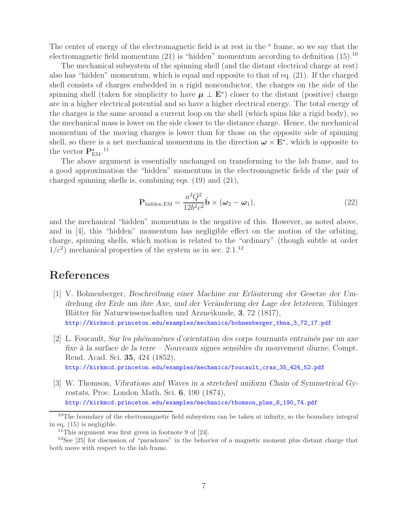The center of energy of the electromagnetic field is at rest in the  $*$  frame, so we say that the electromagnetic field momentum  $(21)$  is "hidden" momentum according to definition  $(15).10$ 

The mechanical subsystem of the spinning shell (and the distant electrical charge at rest) also has "hidden" momentum, which is equal and opposite to that of eq. (21). If the charged shell consists of charges embedded in a rigid nonconductor, the charges on the side of the spinning shell (taken for simplicity to have  $\mu \perp E^*$ ) closer to the distant (positive) charge are in a higher electrical potential and so have a higher electrical energy. The total energy of the charges is the same around a current loop on the shell (which spins like a rigid body), so the mechanical mass is lower on the side closer to the distance charge. Hence, the mechanical momentum of the moving charges is lower than for those on the opposite side of spinning shell, so there is a net mechanical momentum in the direction  $\boldsymbol{\omega} \times \mathbf{E}^*$ , which is opposite to the vector  $P_{EM}^{\star}$ .<sup>11</sup>

The above argument is essentially unchanged on transforming to the lab frame, and to a good approximation the "hidden" momentum in the electromagnetic fields of the pair of charged spinning shells is, combining eqs. (19) and (21),

$$
\mathbf{P}_{\text{hidden,EM}} = \frac{a^2 Q^2}{12b^2 c^2} \hat{\mathbf{b}} \times (\boldsymbol{\omega}_2 - \boldsymbol{\omega}_1),
$$
\n(22)

and the mechanical "hidden" momentum is the negative of this. However, as noted above, and in [4], this "hidden" momentum has negligible effect on the motion of the orbiting, charge, spinning shells, which motion is related to the "ordinary" (though subtle at order  $1/c^2$ ) mechanical properties of the system as in sec. 2.1.<sup>12</sup>

# **References**

- [1] V. Bohnenberger, *Beschreibung einer Machine zur Erläuterung der Gesetze der Um*drehung der Erde um ihre Axe, und der Veränderung der Lage der letzteren, Tübinger Blätter für Naturwissenschaften und Arzneikunde, **3**, 72 (1817), http://kirkmcd.princeton.edu/examples/mechanics/bohnenberger\_tbna\_3\_72\_17.pdf
- [2] L. Foucault, *Sur les ph´enom`enes d'orientation des corps tournants entraˆın´es par un axe fixe `a la surface de la terre – Nouveaux signes sensibles du mouvement diurne*, Compt. Rend. Acad. Sci. **35**, 424 (1852),

http://kirkmcd.princeton.edu/examples/mechanics/foucault\_cras\_35\_424\_52.pdf

[3] W. Thomson, *Vibrations and Waves in a stretched uniform Chain of Symmetrical Gyrostats*, Proc. London Math. Sci. **6**, 190 (1874), http://kirkmcd.princeton.edu/examples/mechanics/thomson\_plms\_6\_190\_74.pdf

<sup>&</sup>lt;sup>10</sup>The boundary of the electromagnetic field subsystem can be taken at infinity, so the boundary integral in eq. (15) is negligible.

<sup>&</sup>lt;sup>11</sup>This argument was first given in footnote 9 of  $[24]$ .

<sup>&</sup>lt;sup>12</sup>See [25] for discussion of "paradoxes" in the behavior of a magnetic moment plus distant charge that both move with respect to the lab frame.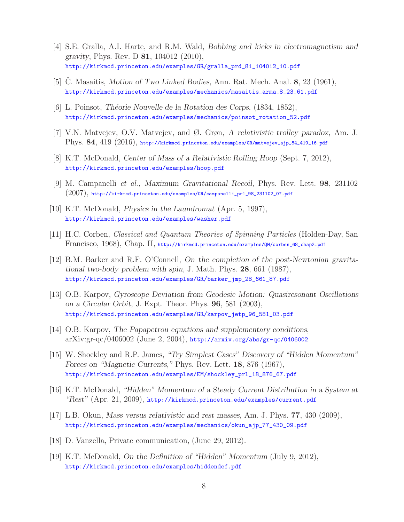- [4] S.E. Gralla, A.I. Harte, and R.M. Wald, *Bobbing and kicks in electromagnetism and gravity*, Phys. Rev. D **81**, 104012 (2010), http://kirkmcd.princeton.edu/examples/GR/gralla\_prd\_81\_104012\_10.pdf
- [5] C. Masaitis, *Motion of Two Linked Bodies*, Ann. Rat. Mech. Anal. **8**, 23 (1961), http://kirkmcd.princeton.edu/examples/mechanics/masaitis\_arma\_8\_23\_61.pdf
- [6] L. Poinsot, *Th´eorie Nouvelle de la Rotation des Corps*, (1834, 1852), http://kirkmcd.princeton.edu/examples/mechanics/poinsot\_rotation\_52.pdf
- [7] V.N. Matvejev, O.V. Matvejev, and Ø. Grøn, *A relativistic trolley paradox*, Am. J. Phys. **84**, 419 (2016), http://kirkmcd.princeton.edu/examples/GR/matvejev\_ajp\_84\_419\_16.pdf
- [8] K.T. McDonald, *Center of Mass of a Relativistic Rolling Hoop* (Sept. 7, 2012), http://kirkmcd.princeton.edu/examples/hoop.pdf
- [9] M. Campanelli *et al.*, *Maximum Gravitational Recoil*, Phys. Rev. Lett. **98**, 231102 (2007), http://kirkmcd.princeton.edu/examples/GR/campanelli\_prl\_98\_231102\_07.pdf
- [10] K.T. McDonald, *Physics in the Laundromat* (Apr. 5, 1997), http://kirkmcd.princeton.edu/examples/washer.pdf
- [11] H.C. Corben, *Classical and Quantum Theories of Spinning Particles* (Holden-Day, San Francisco, 1968), Chap. II, http://kirkmcd.princeton.edu/examples/QM/corben\_68\_chap2.pdf
- [12] B.M. Barker and R.F. O'Connell, *On the completion of the post-Newtonian gravitational two-body problem with spin*, J. Math. Phys. **28**, 661 (1987), http://kirkmcd.princeton.edu/examples/GR/barker\_jmp\_28\_661\_87.pdf
- [13] O.B. Karpov, *Gyroscope Deviation from Geodesic Motion: Quasiresonant Oscillations on a Circular Orbit*, J. Expt. Theor. Phys. **96**, 581 (2003), http://kirkmcd.princeton.edu/examples/GR/karpov\_jetp\_96\_581\_03.pdf
- [14] O.B. Karpov, *The Papapetrou equations and supplementary conditions*, arXiv:gr-qc/0406002 (June 2, 2004), http://arxiv.org/abs/gr-qc/0406002
- [15] W. Shockley and R.P. James, *"Try Simplest Cases" Discovery of "Hidden Momentum" Forces on "Magnetic Currents,"* Phys. Rev. Lett. **18**, 876 (1967), http://kirkmcd.princeton.edu/examples/EM/shockley\_prl\_18\_876\_67.pdf
- [16] K.T. McDonald, *"Hidden" Momentum of a Steady Current Distribution in a System at "Rest"* (Apr. 21, 2009), http://kirkmcd.princeton.edu/examples/current.pdf
- [17] L.B. Okun, *Mass versus relativistic and rest masses*, Am. J. Phys. **77**, 430 (2009), http://kirkmcd.princeton.edu/examples/mechanics/okun\_ajp\_77\_430\_09.pdf
- [18] D. Vanzella, Private communication, (June 29, 2012).
- [19] K.T. McDonald, *On the Definition of "Hidden" Momentum* (July 9, 2012), http://kirkmcd.princeton.edu/examples/hiddendef.pdf